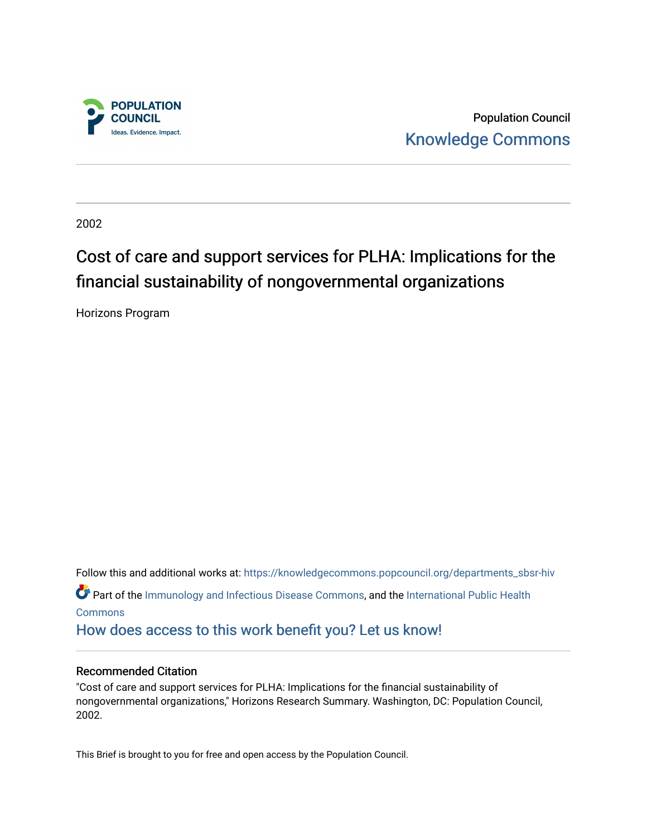

Population Council [Knowledge Commons](https://knowledgecommons.popcouncil.org/) 

2002

# Cost of care and support services for PLHA: Implications for the financial sustainability of nongovernmental organizations

Horizons Program

Follow this and additional works at: [https://knowledgecommons.popcouncil.org/departments\\_sbsr-hiv](https://knowledgecommons.popcouncil.org/departments_sbsr-hiv?utm_source=knowledgecommons.popcouncil.org%2Fdepartments_sbsr-hiv%2F724&utm_medium=PDF&utm_campaign=PDFCoverPages) Part of the [Immunology and Infectious Disease Commons,](https://network.bepress.com/hgg/discipline/33?utm_source=knowledgecommons.popcouncil.org%2Fdepartments_sbsr-hiv%2F724&utm_medium=PDF&utm_campaign=PDFCoverPages) and the [International Public Health](https://network.bepress.com/hgg/discipline/746?utm_source=knowledgecommons.popcouncil.org%2Fdepartments_sbsr-hiv%2F724&utm_medium=PDF&utm_campaign=PDFCoverPages) [Commons](https://network.bepress.com/hgg/discipline/746?utm_source=knowledgecommons.popcouncil.org%2Fdepartments_sbsr-hiv%2F724&utm_medium=PDF&utm_campaign=PDFCoverPages) [How does access to this work benefit you? Let us know!](https://pcouncil.wufoo.com/forms/open-access-to-population-council-research/)

#### Recommended Citation

"Cost of care and support services for PLHA: Implications for the financial sustainability of nongovernmental organizations," Horizons Research Summary. Washington, DC: Population Council, 2002.

This Brief is brought to you for free and open access by the Population Council.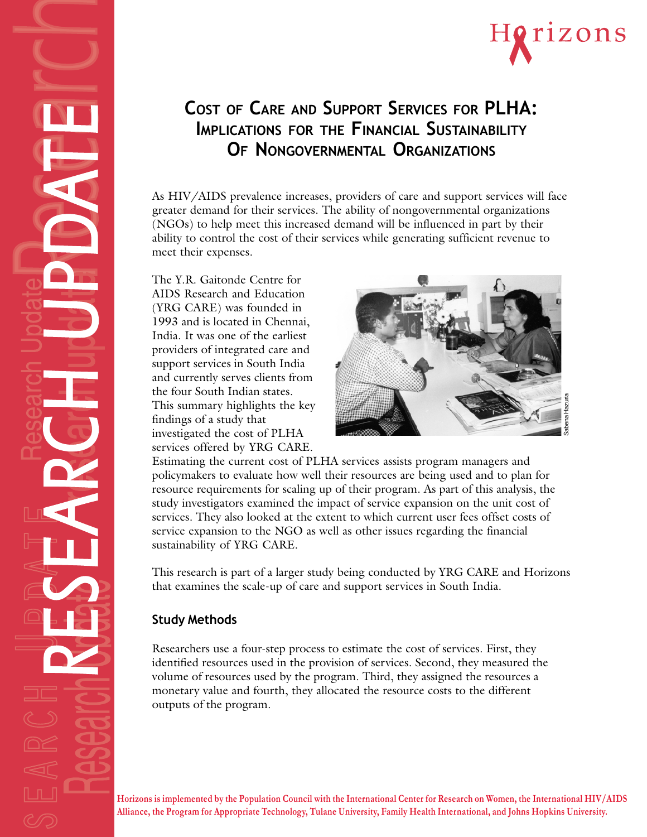



## **COST OF CARE AND SUPPORT SERVICES FOR PLHA: IMPLICATIONS FOR THE FINANCIAL SUSTAINABILITY OF NONGOVERNMENTAL ORGANIZATIONS**

As HIV/AIDS prevalence increases, providers of care and support services will face greater demand for their services. The ability of nongovernmental organizations (NGOs) to help meet this increased demand will be influenced in part by their ability to control the cost of their services while generating sufficient revenue to meet their expenses.

The Y.R. Gaitonde Centre for AIDS Research and Education (YRG CARE) was founded in 1993 and is located in Chennai, India. It was one of the earliest providers of integrated care and support services in South India and currently serves clients from the four South Indian states. This summary highlights the key findings of a study that investigated the cost of PLHA services offered by YRG CARE.



Estimating the current cost of PLHA services assists program managers and policymakers to evaluate how well their resources are being used and to plan for resource requirements for scaling up of their program. As part of this analysis, the study investigators examined the impact of service expansion on the unit cost of services. They also looked at the extent to which current user fees offset costs of service expansion to the NGO as well as other issues regarding the financial sustainability of YRG CARE.

This research is part of a larger study being conducted by YRG CARE and Horizons that examines the scale-up of care and support services in South India.

## **Study Methods**

Researchers use a four-step process to estimate the cost of services. First, they identified resources used in the provision of services. Second, they measured the volume of resources used by the program. Third, they assigned the resources a monetary value and fourth, they allocated the resource costs to the different outputs of the program.

**Horizons is implemented by the Population Council with the International Center for Research on Women, the International HIV/AIDS Alliance, the Program for Appropriate Technology, Tulane University, Family Health International, and Johns Hopkins University.**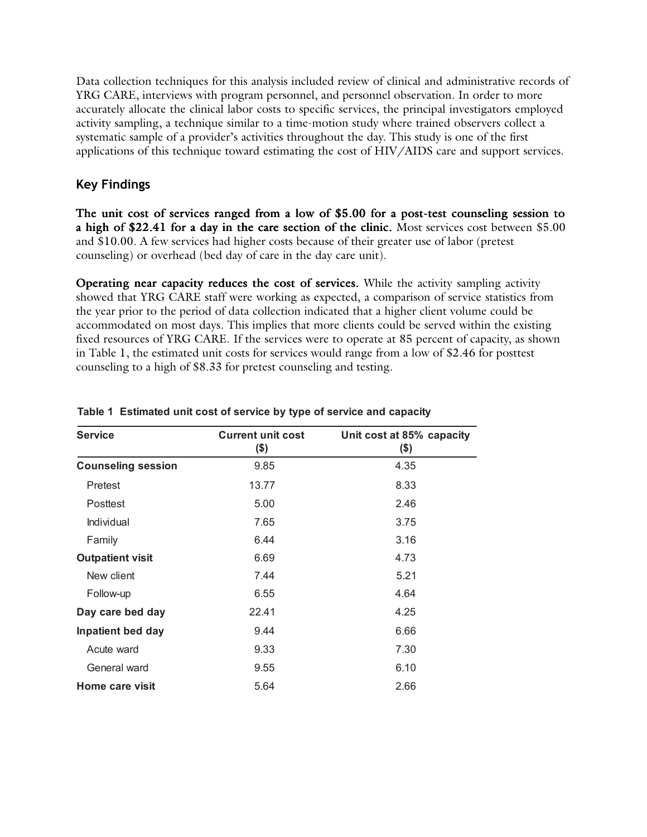Data collection techniques for this analysis included review of clinical and administrative records of YRG CARE, interviews with program personnel, and personnel observation. In order to more accurately allocate the clinical labor costs to specific services, the principal investigators employed activity sampling, a technique similar to a time-motion study where trained observers collect a systematic sample of a provider's activities throughout the day. This study is one of the first applications of this technique toward estimating the cost of HIV/AIDS care and support services.

### **Key Findings**

The unit cost of services ranged from a low of \$5.00 for a post-test counseling session to a high of \$22.41 for a day in the care section of the clinic. Most services cost between  $$5.00$ and \$10.00. A few services had higher costs because of their greater use of labor (pretest counseling) or overhead (bed day of care in the day care unit).

Operating near capacity reduces the cost of services. While the activity sampling activity showed that YRG CARE staff were working as expected, a comparison of service statistics from the year prior to the period of data collection indicated that a higher client volume could be accommodated on most days. This implies that more clients could be served within the existing fixed resources of YRG CARE. If the services were to operate at 85 percent of capacity, as shown in Table 1, the estimated unit costs for services would range from a low of \$2.46 for posttest counseling to a high of \$8.33 for pretest counseling and testing.

| <b>Service</b>            | <b>Current unit cost</b><br>\$) | Unit cost at 85% capacity<br>\$) |
|---------------------------|---------------------------------|----------------------------------|
| <b>Counseling session</b> | 9.85                            | 4.35                             |
| Pretest                   | 13.77                           | 8.33                             |
| Posttest                  | 5.00                            | 2.46                             |
| Individual                | 7.65                            | 3.75                             |
| Family                    | 6.44                            | 3.16                             |
| <b>Outpatient visit</b>   | 6.69                            | 4.73                             |
| New client                | 7.44                            | 5.21                             |
| Follow-up                 | 6.55                            | 4.64                             |
| Day care bed day          | 22.41                           | 4.25                             |
| <b>Inpatient bed day</b>  | 9.44                            | 6.66                             |
| Acute ward                | 9.33                            | 7.30                             |
| General ward              | 9.55                            | 6.10                             |
| Home care visit           | 5.64                            | 2.66                             |

#### **Table 1 Estimated unit cost of service by type of service and capacity**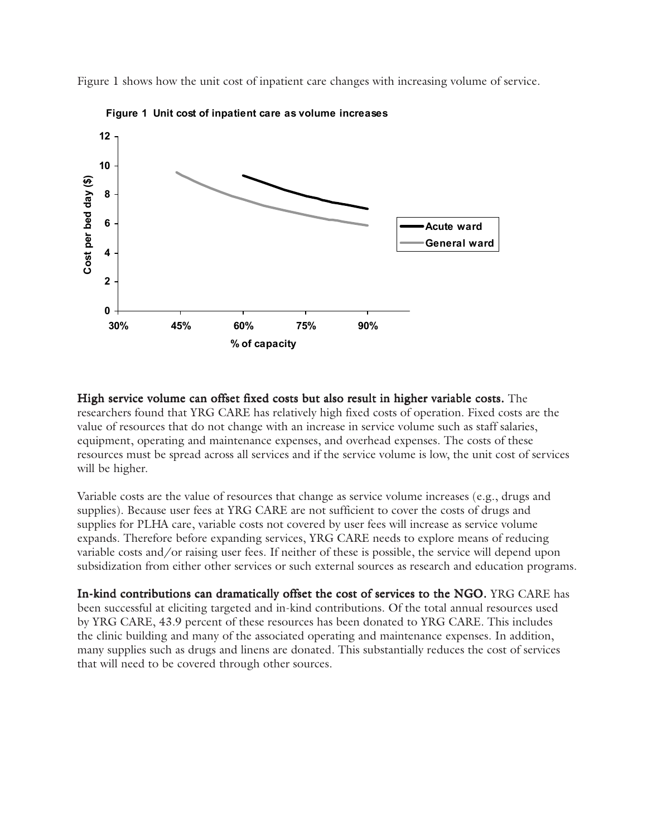Figure 1 shows how the unit cost of inpatient care changes with increasing volume of service.



**Figure 1 Unit cost of inpatient care as volume increases**

High service volume can offset fixed costs but also result in higher variable costs. The researchers found that YRG CARE has relatively high fixed costs of operation. Fixed costs are the value of resources that do not change with an increase in service volume such as staff salaries, equipment, operating and maintenance expenses, and overhead expenses. The costs of these resources must be spread across all services and if the service volume is low, the unit cost of services will be higher.

Variable costs are the value of resources that change as service volume increases (e.g., drugs and supplies). Because user fees at YRG CARE are not sufficient to cover the costs of drugs and supplies for PLHA care, variable costs not covered by user fees will increase as service volume expands. Therefore before expanding services, YRG CARE needs to explore means of reducing variable costs and/or raising user fees. If neither of these is possible, the service will depend upon subsidization from either other services or such external sources as research and education programs.

In-kind contributions can dramatically offset the cost of services to the NGO. YRG CARE has been successful at eliciting targeted and in-kind contributions. Of the total annual resources used by YRG CARE, 43.9 percent of these resources has been donated to YRG CARE. This includes the clinic building and many of the associated operating and maintenance expenses. In addition, many supplies such as drugs and linens are donated. This substantially reduces the cost of services that will need to be covered through other sources.